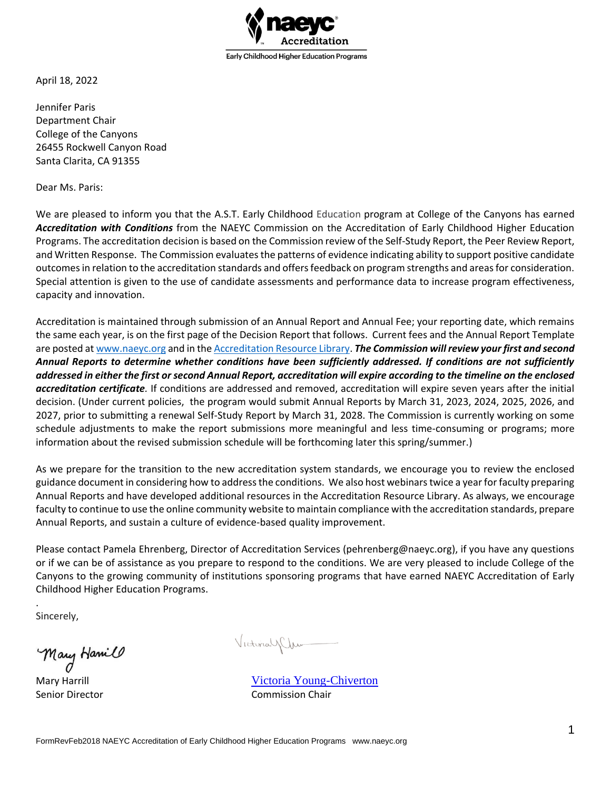

April 18, 2022

Jennifer Paris Department Chair College of the Canyons 26455 Rockwell Canyon Road Santa Clarita, CA 91355

Dear Ms. Paris:

We are pleased to inform you that the A.S.T. Early Childhood Education program at College of the Canyons has earned *Accreditation with Conditions* from the NAEYC Commission on the Accreditation of Early Childhood Higher Education Programs. The accreditation decision is based on the Commission review of the Self-Study Report, the Peer Review Report, and Written Response. The Commission evaluates the patterns of evidence indicating ability to support positive candidate outcomes in relation to the accreditation standards and offers feedback on program strengths and areas for consideration. Special attention is given to the use of candidate assessments and performance data to increase program effectiveness, capacity and innovation.

Accreditation is maintained through submission of an Annual Report and Annual Fee; your reporting date, which remains the same each year, is on the first page of the Decision Report that follows. Current fees and the Annual Report Template are posted a[t www.naeyc.org](https://www.naeyc.org/accreditation/higher-ed/accreditation-overview) and in th[e Accreditation Resource Library.](http://www.basecamp.com/) *The Commission will review your first and second Annual Reports to determine whether conditions have been sufficiently addressed. If conditions are not sufficiently addressed in either the first or second Annual Report, accreditation will expire according to the timeline on the enclosed accreditation certificate.* If conditions are addressed and removed, accreditation will expire seven years after the initial decision. (Under current policies, the program would submit Annual Reports by March 31, 2023, 2024, 2025, 2026, and 2027, prior to submitting a renewal Self-Study Report by March 31, 2028. The Commission is currently working on some schedule adjustments to make the report submissions more meaningful and less time-consuming or programs; more information about the revised submission schedule will be forthcoming later this spring/summer.)

As we prepare for the transition to the new accreditation system standards, we encourage you to review the enclosed guidance document in considering how to address the conditions. We also host webinars twice a year for faculty preparing Annual Reports and have developed additional resources in the Accreditation Resource Library. As always, we encourage faculty to continue to use the online community website to maintain compliance with the accreditation standards, prepare Annual Reports, and sustain a culture of evidence-based quality improvement.

Please contact Pamela Ehrenberg, Director of Accreditation Services (pehrenberg@naeyc.org), if you have any questions or if we can be of assistance as you prepare to respond to the conditions. We are very pleased to include College of the Canyons to the growing community of institutions sponsoring programs that have earned NAEYC Accreditation of Early Childhood Higher Education Programs.

Sincerely,

.

Mary Hamilo

Victorial/Clum

Mary Harrill **Mary Harrill** Mary Harrill **Mary Harrill** [Victoria Young-Chiverton](mailto:Victoria.YoungChiverton@centralaz.edu) Senior Director **Commission Chair**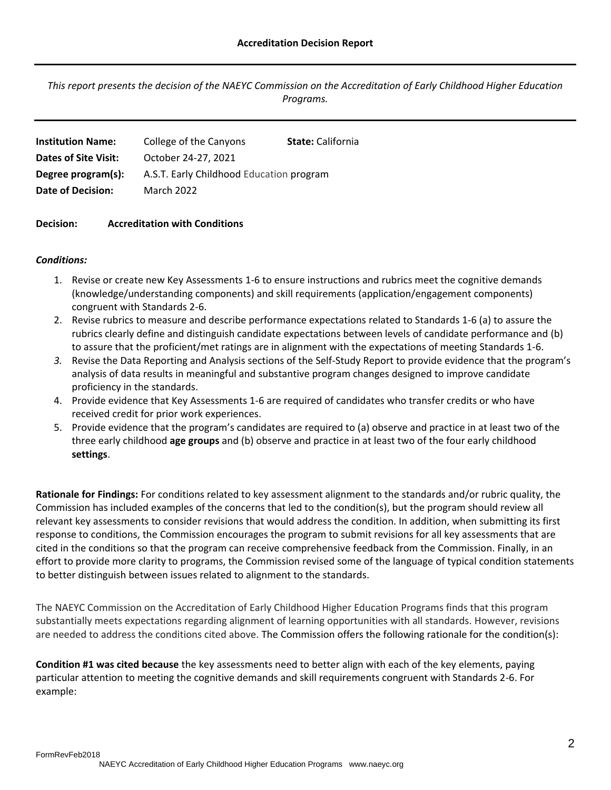*This report presents the decision of the NAEYC Commission on the Accreditation of Early Childhood Higher Education Programs.*

| <b>Institution Name:</b> | College of the Canyons                   | <b>State:</b> California |
|--------------------------|------------------------------------------|--------------------------|
| Dates of Site Visit:     | October 24-27, 2021                      |                          |
| Degree program(s):       | A.S.T. Early Childhood Education program |                          |
| Date of Decision:        | <b>March 2022</b>                        |                          |
|                          |                                          |                          |

### **Decision: Accreditation with Conditions**

### *Conditions:*

- 1. Revise or create new Key Assessments 1-6 to ensure instructions and rubrics meet the cognitive demands (knowledge/understanding components) and skill requirements (application/engagement components) congruent with Standards 2-6.
- 2. Revise rubrics to measure and describe performance expectations related to Standards 1-6 (a) to assure the rubrics clearly define and distinguish candidate expectations between levels of candidate performance and (b) to assure that the proficient/met ratings are in alignment with the expectations of meeting Standards 1-6.
- *3.* Revise the Data Reporting and Analysis sections of the Self-Study Report to provide evidence that the program's analysis of data results in meaningful and substantive program changes designed to improve candidate proficiency in the standards.
- 4. Provide evidence that Key Assessments 1-6 are required of candidates who transfer credits or who have received credit for prior work experiences.
- 5. Provide evidence that the program's candidates are required to (a) observe and practice in at least two of the three early childhood **age groups** and (b) observe and practice in at least two of the four early childhood **settings**.

**Rationale for Findings:** For conditions related to key assessment alignment to the standards and/or rubric quality, the Commission has included examples of the concerns that led to the condition(s), but the program should review all relevant key assessments to consider revisions that would address the condition. In addition, when submitting its first response to conditions, the Commission encourages the program to submit revisions for all key assessments that are cited in the conditions so that the program can receive comprehensive feedback from the Commission. Finally, in an effort to provide more clarity to programs, the Commission revised some of the language of typical condition statements to better distinguish between issues related to alignment to the standards.

The NAEYC Commission on the Accreditation of Early Childhood Higher Education Programs finds that this program substantially meets expectations regarding alignment of learning opportunities with all standards. However, revisions are needed to address the conditions cited above. The Commission offers the following rationale for the condition(s):

**Condition #1 was cited because** the key assessments need to better align with each of the key elements, paying particular attention to meeting the cognitive demands and skill requirements congruent with Standards 2-6. For example: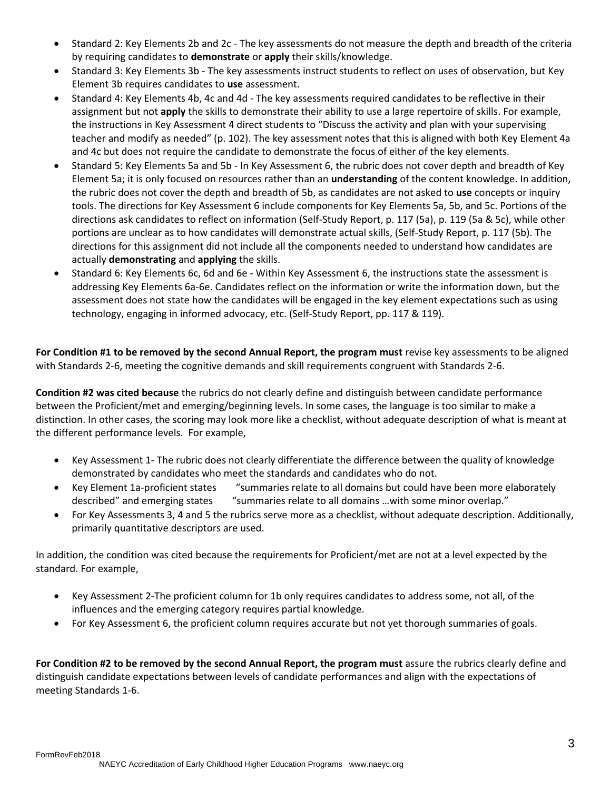- Standard 2: Key Elements 2b and 2c The key assessments do not measure the depth and breadth of the criteria by requiring candidates to **demonstrate** or **apply** their skills/knowledge.
- Standard 3: Key Elements 3b The key assessments instruct students to reflect on uses of observation, but Key Element 3b requires candidates to **use** assessment.
- Standard 4: Key Elements 4b, 4c and 4d The key assessments required candidates to be reflective in their assignment but not **apply** the skills to demonstrate their ability to use a large repertoire of skills. For example, the instructions in Key Assessment 4 direct students to "Discuss the activity and plan with your supervising teacher and modify as needed" (p. 102). The key assessment notes that this is aligned with both Key Element 4a and 4c but does not require the candidate to demonstrate the focus of either of the key elements.
- Standard 5: Key Elements 5a and 5b In Key Assessment 6, the rubric does not cover depth and breadth of Key Element 5a; it is only focused on resources rather than an **understanding** of the content knowledge. In addition, the rubric does not cover the depth and breadth of 5b, as candidates are not asked to **use** concepts or inquiry tools. The directions for Key Assessment 6 include components for Key Elements 5a, 5b, and 5c. Portions of the directions ask candidates to reflect on information (Self-Study Report, p. 117 (5a), p. 119 (5a & 5c), while other portions are unclear as to how candidates will demonstrate actual skills, (Self-Study Report, p. 117 (5b). The directions for this assignment did not include all the components needed to understand how candidates are actually **demonstrating** and **applying** the skills.
- Standard 6: Key Elements 6c, 6d and 6e Within Key Assessment 6, the instructions state the assessment is addressing Key Elements 6a-6e. Candidates reflect on the information or write the information down, but the assessment does not state how the candidates will be engaged in the key element expectations such as using technology, engaging in informed advocacy, etc. (Self-Study Report, pp. 117 & 119).

**For Condition #1 to be removed by the second Annual Report, the program must** revise key assessments to be aligned with Standards 2-6, meeting the cognitive demands and skill requirements congruent with Standards 2-6.

**Condition #2 was cited because** the rubrics do not clearly define and distinguish between candidate performance between the Proficient/met and emerging/beginning levels. In some cases, the language is too similar to make a distinction. In other cases, the scoring may look more like a checklist, without adequate description of what is meant at the different performance levels. For example,

- Key Assessment 1- The rubric does not clearly differentiate the difference between the quality of knowledge demonstrated by candidates who meet the standards and candidates who do not.
- Key Element 1a-proficient states "summaries relate to all domains but could have been more elaborately described" and emerging states "summaries relate to all domains …with some minor overlap."
- For Key Assessments 3, 4 and 5 the rubrics serve more as a checklist, without adequate description. Additionally, primarily quantitative descriptors are used.

In addition, the condition was cited because the requirements for Proficient/met are not at a level expected by the standard. For example,

- Key Assessment 2-The proficient column for 1b only requires candidates to address some, not all, of the influences and the emerging category requires partial knowledge.
- For Key Assessment 6, the proficient column requires accurate but not yet thorough summaries of goals.

For Condition #2 to be removed by the second Annual Report, the program must assure the rubrics clearly define and distinguish candidate expectations between levels of candidate performances and align with the expectations of meeting Standards 1-6.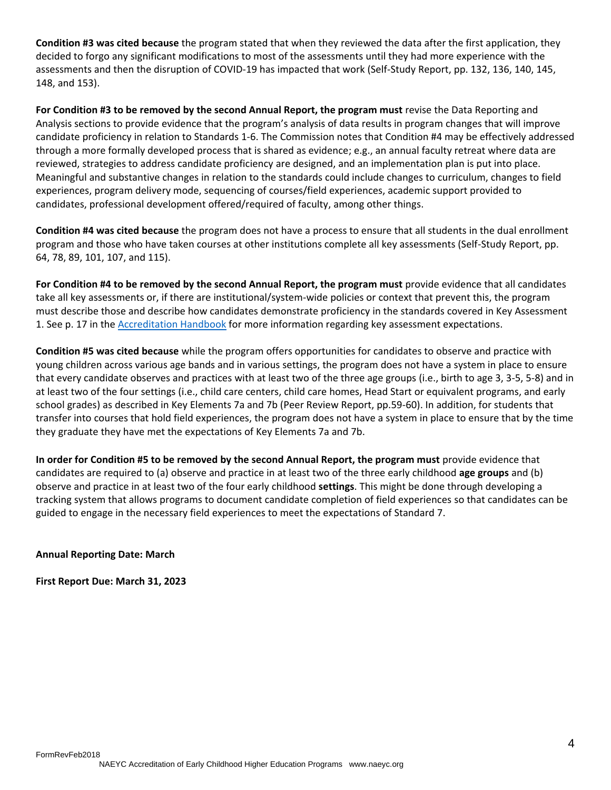**Condition #3 was cited because** the program stated that when they reviewed the data after the first application, they decided to forgo any significant modifications to most of the assessments until they had more experience with the assessments and then the disruption of COVID-19 has impacted that work (Self-Study Report, pp. 132, 136, 140, 145, 148, and 153).

**For Condition #3 to be removed by the second Annual Report, the program must** revise the Data Reporting and Analysis sections to provide evidence that the program's analysis of data results in program changes that will improve candidate proficiency in relation to Standards 1-6. The Commission notes that Condition #4 may be effectively addressed through a more formally developed process that is shared as evidence; e.g., an annual faculty retreat where data are reviewed, strategies to address candidate proficiency are designed, and an implementation plan is put into place. Meaningful and substantive changes in relation to the standards could include changes to curriculum, changes to field experiences, program delivery mode, sequencing of courses/field experiences, academic support provided to candidates, professional development offered/required of faculty, among other things.

**Condition #4 was cited because** the program does not have a process to ensure that all students in the dual enrollment program and those who have taken courses at other institutions complete all key assessments (Self-Study Report, pp. 64, 78, 89, 101, 107, and 115).

**For Condition #4 to be removed by the second Annual Report, the program must** provide evidence that all candidates take all key assessments or, if there are institutional/system-wide policies or context that prevent this, the program must describe those and describe how candidates demonstrate proficiency in the standards covered in Key Assessment 1. See p. 17 in the [Accreditation Handbook](https://www.naeyc.org/sites/default/files/globally-shared/downloads/PDFs/accreditation/higher-ed/2021_naeyc_higher_ed_accreditation_handbook.pdf) for more information regarding key assessment expectations.

**Condition #5 was cited because** while the program offers opportunities for candidates to observe and practice with young children across various age bands and in various settings, the program does not have a system in place to ensure that every candidate observes and practices with at least two of the three age groups (i.e., birth to age 3, 3-5, 5-8) and in at least two of the four settings (i.e., child care centers, child care homes, Head Start or equivalent programs, and early school grades) as described in Key Elements 7a and 7b (Peer Review Report, pp.59-60). In addition, for students that transfer into courses that hold field experiences, the program does not have a system in place to ensure that by the time they graduate they have met the expectations of Key Elements 7a and 7b.

**In order for Condition #5 to be removed by the second Annual Report, the program must** provide evidence that candidates are required to (a) observe and practice in at least two of the three early childhood **age groups** and (b) observe and practice in at least two of the four early childhood **settings**. This might be done through developing a tracking system that allows programs to document candidate completion of field experiences so that candidates can be guided to engage in the necessary field experiences to meet the expectations of Standard 7.

# **Annual Reporting Date: March**

**First Report Due: March 31, 2023**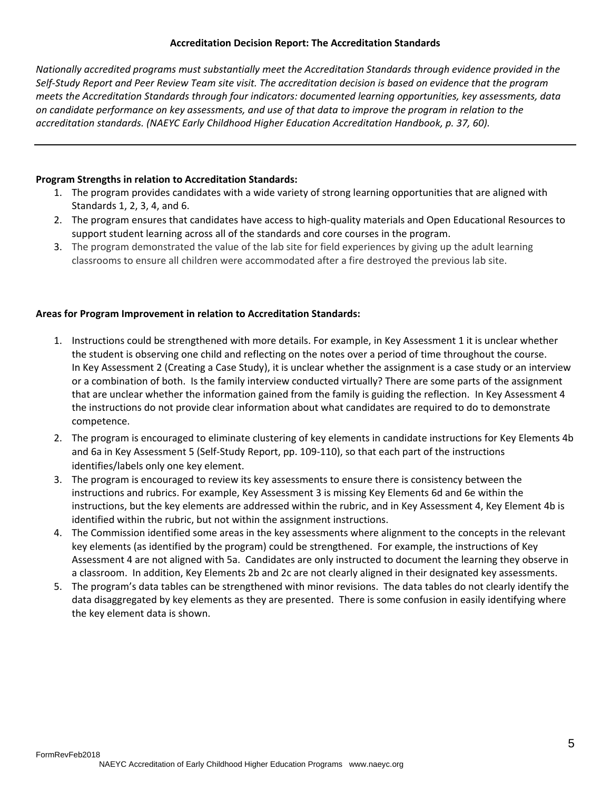# **Accreditation Decision Report: The Accreditation Standards**

*Nationally accredited programs must substantially meet the Accreditation Standards through evidence provided in the Self-Study Report and Peer Review Team site visit. The accreditation decision is based on evidence that the program meets the Accreditation Standards through four indicators: documented learning opportunities, key assessments, data on candidate performance on key assessments, and use of that data to improve the program in relation to the accreditation standards. (NAEYC Early Childhood Higher Education Accreditation Handbook, p. 37, 60).* 

### **Program Strengths in relation to Accreditation Standards:**

- 1. The program provides candidates with a wide variety of strong learning opportunities that are aligned with Standards 1, 2, 3, 4, and 6.
- 2. The program ensures that candidates have access to high-quality materials and Open Educational Resources to support student learning across all of the standards and core courses in the program.
- 3. The program demonstrated the value of the lab site for field experiences by giving up the adult learning classrooms to ensure all children were accommodated after a fire destroyed the previous lab site.

### **Areas for Program Improvement in relation to Accreditation Standards:**

- 1. Instructions could be strengthened with more details. For example, in Key Assessment 1 it is unclear whether the student is observing one child and reflecting on the notes over a period of time throughout the course. In Key Assessment 2 (Creating a Case Study), it is unclear whether the assignment is a case study or an interview or a combination of both. Is the family interview conducted virtually? There are some parts of the assignment that are unclear whether the information gained from the family is guiding the reflection. In Key Assessment 4 the instructions do not provide clear information about what candidates are required to do to demonstrate competence.
- 2. The program is encouraged to eliminate clustering of key elements in candidate instructions for Key Elements 4b and 6a in Key Assessment 5 (Self-Study Report, pp. 109-110), so that each part of the instructions identifies/labels only one key element.
- 3. The program is encouraged to review its key assessments to ensure there is consistency between the instructions and rubrics. For example, Key Assessment 3 is missing Key Elements 6d and 6e within the instructions, but the key elements are addressed within the rubric, and in Key Assessment 4, Key Element 4b is identified within the rubric, but not within the assignment instructions.
- 4. The Commission identified some areas in the key assessments where alignment to the concepts in the relevant key elements (as identified by the program) could be strengthened. For example, the instructions of Key Assessment 4 are not aligned with 5a. Candidates are only instructed to document the learning they observe in a classroom. In addition, Key Elements 2b and 2c are not clearly aligned in their designated key assessments.
- 5. The program's data tables can be strengthened with minor revisions. The data tables do not clearly identify the data disaggregated by key elements as they are presented. There is some confusion in easily identifying where the key element data is shown.